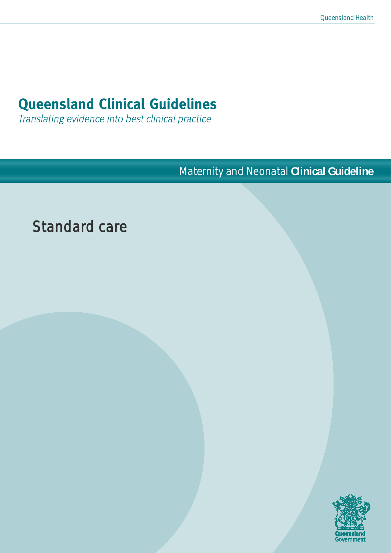# **Queensland Clinical Guidelines**

Translating evidence into best clinical practice

Maternity and Neonatal **Clinical Guideline**

# Standard care

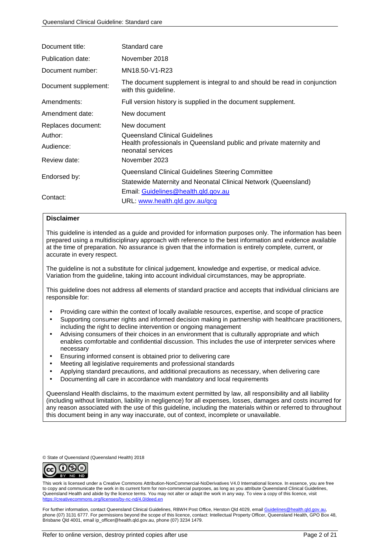| Document title:      | Standard care                                                                                    |
|----------------------|--------------------------------------------------------------------------------------------------|
| Publication date:    | November 2018                                                                                    |
| Document number:     | MN18.50-V1-R23                                                                                   |
| Document supplement: | The document supplement is integral to and should be read in conjunction<br>with this guideline. |
| Amendments:          | Full version history is supplied in the document supplement.                                     |
| Amendment date:      | New document                                                                                     |
| Replaces document:   | New document                                                                                     |
| Author:              | Queensland Clinical Guidelines                                                                   |
| Audience:            | Health professionals in Queensland public and private maternity and<br>neonatal services         |
| Review date:         | November 2023                                                                                    |
|                      | Queensland Clinical Guidelines Steering Committee                                                |
| Endorsed by:         | Statewide Maternity and Neonatal Clinical Network (Queensland)                                   |
|                      | Email: Guidelines@health.gld.gov.au                                                              |
| Contact:             | URL: www.health.qld.gov.au/qcg                                                                   |

#### **Disclaimer**

This guideline is intended as a guide and provided for information purposes only. The information has been prepared using a multidisciplinary approach with reference to the best information and evidence available at the time of preparation. No assurance is given that the information is entirely complete, current, or accurate in every respect.

The guideline is not a substitute for clinical judgement, knowledge and expertise, or medical advice. Variation from the guideline, taking into account individual circumstances, may be appropriate.

This guideline does not address all elements of standard practice and accepts that individual clinicians are responsible for:

- Providing care within the context of locally available resources, expertise, and scope of practice
- Supporting consumer rights and informed decision making in partnership with healthcare practitioners, including the right to decline intervention or ongoing management
- Advising consumers of their choices in an environment that is culturally appropriate and which enables comfortable and confidential discussion. This includes the use of interpreter services where necessary
- Ensuring informed consent is obtained prior to delivering care
- Meeting all legislative requirements and professional standards
- Applying standard precautions, and additional precautions as necessary, when delivering care
- Documenting all care in accordance with mandatory and local requirements

Queensland Health disclaims, to the maximum extent permitted by law, all responsibility and all liability (including without limitation, liability in negligence) for all expenses, losses, damages and costs incurred for any reason associated with the use of this guideline, including the materials within or referred to throughout this document being in any way inaccurate, out of context, incomplete or unavailable.

© State of Queensland (Queensland Health) 2018



This work is licensed under a Creative Commons Attribution-NonCommercial-NoDerivatives V4.0 International licence. In essence, you are free to copy and communicate the work in its current form for non-commercial purposes, as long as you attribute Queensland Clinical Guidelines, Queensland Health and abide by the licence terms. You may not alter or adapt the work in any way. To view a copy of this licence, visit <https://creativecommons.org/licenses/by-nc-nd/4.0/deed.en>

For further information, contact Queensland Clinical Guidelines, RBWH Post Office, Herston Old 4029, email Guidelines@health. phone (07) 3131 6777. For permissions beyond the scope of this licence, contact: Intellectual Property Officer, Queensland Health, GPO Box 48, Brisbane Qld 4001, email ip\_officer@health.qld.gov.au, phone (07) 3234 1479.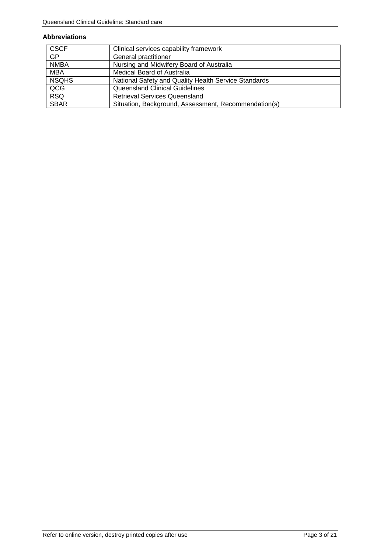#### **Abbreviations**

| <b>CSCF</b>  | Clinical services capability framework               |
|--------------|------------------------------------------------------|
| <b>GP</b>    | General practitioner                                 |
| <b>NMBA</b>  | Nursing and Midwifery Board of Australia             |
| <b>MBA</b>   | <b>Medical Board of Australia</b>                    |
| <b>NSQHS</b> | National Safety and Quality Health Service Standards |
| QCG          | <b>Queensland Clinical Guidelines</b>                |
| <b>RSQ</b>   | <b>Retrieval Services Queensland</b>                 |
| <b>SBAR</b>  | Situation, Background, Assessment, Recommendation(s) |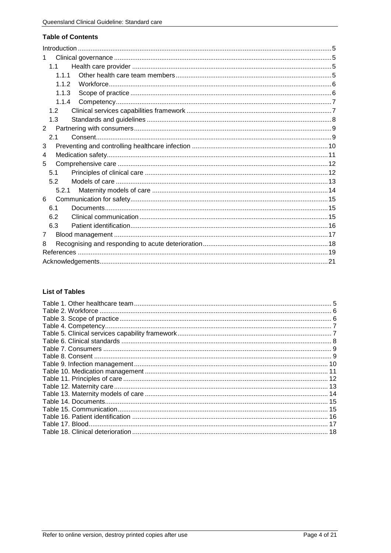#### **Table of Contents**

| $\mathbf{1}$   |
|----------------|
| 1.1            |
| 1.1.1          |
| 1.1.2          |
| 1.1.3          |
| 1.1.4          |
| 1.2            |
| 1.3            |
| 2              |
| 2.1            |
| 3              |
| 4              |
| 5              |
| 5.1            |
| 5.2            |
| 5.2.1          |
| 6              |
| 6.1            |
| 6.2            |
| 6.3            |
| $\overline{7}$ |
| 8              |
|                |
|                |

### **List of Tables**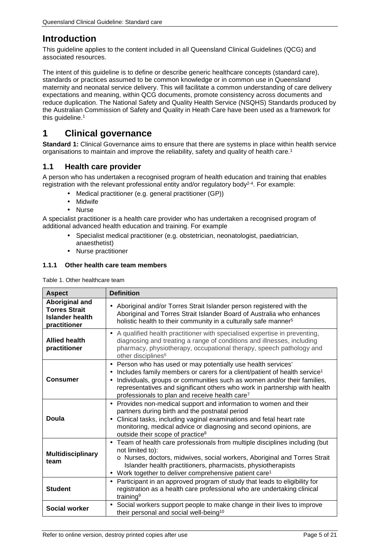# <span id="page-4-0"></span>**Introduction**

This guideline applies to the content included in all Queensland Clinical Guidelines (QCG) and associated resources.

The intent of this guideline is to define or describe generic healthcare concepts (standard care), standards or practices assumed to be common knowledge or in common use in Queensland maternity and neonatal service delivery. This will facilitate a common understanding of care delivery expectations and meaning, within QCG documents, promote consistency across documents and reduce duplication. The National Safety and Quality Health Service (NSQHS) Standards produced by the Australian Commission of Safety and Quality in Heath Care have been used as a framework for this guideline.<sup>1</sup>

# <span id="page-4-1"></span>**1 Clinical governance**

**Standard 1:** Clinical Governance aims to ensure that there are systems in place within health service organisations to maintain and improve the reliability, safety and quality of health care.1

### <span id="page-4-2"></span>**1.1 Health care provider**

A person who has undertaken a recognised program of health education and training that enables registration with the relevant professional entity and/or regulatory body<sup>2-4</sup>. For example:

- Medical practitioner (e.g. general practitioner (GP))
- Midwife
- Nurse

A specialist practitioner is a health care provider who has undertaken a recognised program of additional advanced health education and training. For example

- Specialist medical practitioner (e.g. obstetrician, neonatologist, paediatrician, anaesthetist)
- Nurse practitioner

#### <span id="page-4-3"></span>**1.1.1 Other health care team members**

<span id="page-4-4"></span>Table 1. Other healthcare team

| <b>Aspect</b>                                                             | <b>Definition</b>                                                                                                                                                                                                                                                                                                                                                                                               |
|---------------------------------------------------------------------------|-----------------------------------------------------------------------------------------------------------------------------------------------------------------------------------------------------------------------------------------------------------------------------------------------------------------------------------------------------------------------------------------------------------------|
| Aboriginal and<br><b>Torres Strait</b><br>Islander health<br>practitioner | Aboriginal and/or Torres Strait Islander person registered with the<br>ä,<br>Aboriginal and Torres Strait Islander Board of Australia who enhances<br>holistic health to their community in a culturally safe manner <sup>5</sup>                                                                                                                                                                               |
| <b>Allied health</b><br>practitioner                                      | A qualified health practitioner with specialised expertise in preventing,<br>ä,<br>diagnosing and treating a range of conditions and illnesses, including<br>pharmacy, physiotherapy, occupational therapy, speech pathology and<br>other disciplines <sup>6</sup>                                                                                                                                              |
| <b>Consumer</b>                                                           | Person who has used or may potentially use health services'<br>Includes family members or carers for a client/patient of health service <sup>1</sup><br>$\blacksquare$<br>Individuals, groups or communities such as women and/or their families,<br>$\blacksquare$<br>representatives and significant others who work in partnership with health<br>professionals to plan and receive health care <sup>7</sup> |
| <b>Doula</b>                                                              | Provides non-medical support and information to women and their<br>$\blacksquare$<br>partners during birth and the postnatal period<br>Clinical tasks, including vaginal examinations and fetal heart rate<br>monitoring, medical advice or diagnosing and second opinions, are<br>outside their scope of practice <sup>8</sup>                                                                                 |
| <b>Multidisciplinary</b><br>team                                          | Team of health care professionals from multiple disciplines including (but<br>$\blacksquare$<br>not limited to):<br>o Nurses, doctors, midwives, social workers, Aboriginal and Torres Strait<br>Islander health practitioners, pharmacists, physiotherapists<br>Work together to deliver comprehensive patient care <sup>1</sup>                                                                               |
| <b>Student</b>                                                            | Participant in an approved program of study that leads to eligibility for<br>$\blacksquare$<br>registration as a health care professional who are undertaking clinical<br>training <sup>9</sup>                                                                                                                                                                                                                 |
| Social worker                                                             | Social workers support people to make change in their lives to improve<br>$\blacksquare$<br>their personal and social well-being <sup>10</sup>                                                                                                                                                                                                                                                                  |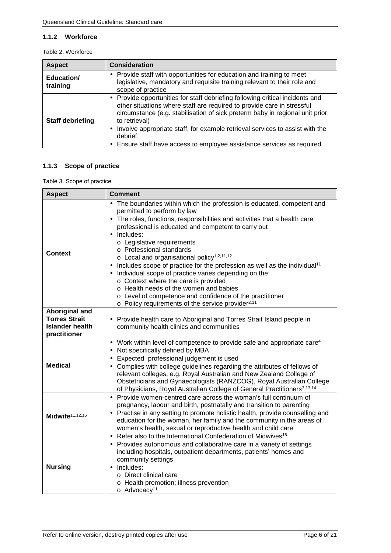#### <span id="page-5-0"></span>**1.1.2 Workforce**

<span id="page-5-2"></span>

| <b>Aspect</b>           | <b>Consideration</b>                                                                                                                                                                                                                                                                                                                                                                                                           |
|-------------------------|--------------------------------------------------------------------------------------------------------------------------------------------------------------------------------------------------------------------------------------------------------------------------------------------------------------------------------------------------------------------------------------------------------------------------------|
| Education/<br>training  | Provide staff with opportunities for education and training to meet<br>legislative, mandatory and requisite training relevant to their role and<br>scope of practice                                                                                                                                                                                                                                                           |
| <b>Staff debriefing</b> | Provide opportunities for staff debriefing following critical incidents and<br>other situations where staff are required to provide care in stressful<br>circumstance (e.g. stabilisation of sick preterm baby in regional unit prior<br>to retrieval)<br>Involve appropriate staff, for example retrieval services to assist with the<br>٠<br>debrief<br>Ensure staff have access to employee assistance services as required |

### <span id="page-5-1"></span>**1.1.3 Scope of practice**

<span id="page-5-3"></span>Table 3. Scope of practice

| <b>Aspect</b>                          | <b>Comment</b>                                                                                                                                                                                                                                                                                                                                                                                                                                                                                                                                                                                                                                                                                                                                                          |
|----------------------------------------|-------------------------------------------------------------------------------------------------------------------------------------------------------------------------------------------------------------------------------------------------------------------------------------------------------------------------------------------------------------------------------------------------------------------------------------------------------------------------------------------------------------------------------------------------------------------------------------------------------------------------------------------------------------------------------------------------------------------------------------------------------------------------|
| <b>Context</b>                         | The boundaries within which the profession is educated, competent and<br>permitted to perform by law<br>The roles, functions, responsibilities and activities that a health care<br>$\blacksquare$<br>professional is educated and competent to carry out<br>Includes:<br>o Legislative requirements<br>o Professional standards<br>$\circ$ Local and organisational policy <sup>1,2,11,12</sup><br>Includes scope of practice for the profession as well as the individual <sup>11</sup><br>Individual scope of practice varies depending on the:<br>o Context where the care is provided<br>o Health needs of the women and babies<br>o Level of competence and confidence of the practitioner<br>$\circ$ Policy requirements of the service provider <sup>2,11</sup> |
| <b>Aboriginal and</b>                  |                                                                                                                                                                                                                                                                                                                                                                                                                                                                                                                                                                                                                                                                                                                                                                         |
| <b>Torres Strait</b>                   | Provide health care to Aboriginal and Torres Strait Island people in                                                                                                                                                                                                                                                                                                                                                                                                                                                                                                                                                                                                                                                                                                    |
| <b>Islander health</b><br>practitioner | community health clinics and communities                                                                                                                                                                                                                                                                                                                                                                                                                                                                                                                                                                                                                                                                                                                                |
| <b>Medical</b>                         | Work within level of competence to provide safe and appropriate care <sup>4</sup><br>Not specifically defined by MBA<br>Expected-professional judgement is used<br>×,<br>Complies with college guidelines regarding the attributes of fellows of<br>×,<br>relevant colleges, e.g. Royal Australian and New Zealand College of<br>Obstetricians and Gynaecologists (RANZCOG), Royal Australian College<br>of Physicians, Royal Australian College of General Practitioners <sup>3,13,14</sup>                                                                                                                                                                                                                                                                            |
| Midwife <sup>11,12,15</sup>            | Provide women-centred care across the woman's full continuum of<br>pregnancy, labour and birth, postnatally and transition to parenting<br>Practise in any setting to promote holistic health, provide counselling and<br>education for the woman, her family and the community in the areas of<br>women's health, sexual or reproductive health and child care<br>Refer also to the International Confederation of Midwives <sup>16</sup><br>$\blacksquare$                                                                                                                                                                                                                                                                                                            |
| <b>Nursing</b>                         | Provides autonomous and collaborative care in a variety of settings<br>including hospitals, outpatient departments, patients' homes and<br>community settings<br>Includes:<br>o Direct clinical care<br>o Health promotion; illness prevention<br>o Advocacy <sup>11</sup>                                                                                                                                                                                                                                                                                                                                                                                                                                                                                              |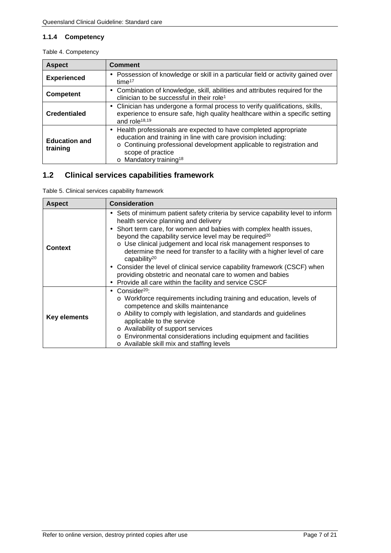#### <span id="page-6-0"></span>**1.1.4 Competency**

<span id="page-6-2"></span>

|  | Table 4. Competency |
|--|---------------------|
|--|---------------------|

| <b>Aspect</b>                    | <b>Comment</b>                                                                                                                                                                                                                                                                              |
|----------------------------------|---------------------------------------------------------------------------------------------------------------------------------------------------------------------------------------------------------------------------------------------------------------------------------------------|
| <b>Experienced</b>               | Possession of knowledge or skill in a particular field or activity gained over<br>time $17$                                                                                                                                                                                                 |
| <b>Competent</b>                 | Combination of knowledge, skill, abilities and attributes required for the<br>$\blacksquare$<br>clinician to be successful in their role <sup>1</sup>                                                                                                                                       |
| <b>Credentialed</b>              | Clinician has undergone a formal process to verify qualifications, skills,<br>experience to ensure safe, high quality healthcare within a specific setting<br>and role <sup>18,19</sup>                                                                                                     |
| <b>Education and</b><br>training | Health professionals are expected to have completed appropriate<br>$\blacksquare$<br>education and training in line with care provision including:<br>o Continuing professional development applicable to registration and<br>scope of practice<br>$\circ$ Mandatory training <sup>18</sup> |

## <span id="page-6-1"></span>**1.2 Clinical services capabilities framework**

<span id="page-6-3"></span>Table 5. Clinical services capability framework

| <b>Aspect</b>       | <b>Consideration</b>                                                                                                                                                                                                                                                                                                                                                                                                                                                                                                                                                                                                                                                          |
|---------------------|-------------------------------------------------------------------------------------------------------------------------------------------------------------------------------------------------------------------------------------------------------------------------------------------------------------------------------------------------------------------------------------------------------------------------------------------------------------------------------------------------------------------------------------------------------------------------------------------------------------------------------------------------------------------------------|
| <b>Context</b>      | Sets of minimum patient safety criteria by service capability level to inform<br>٠<br>health service planning and delivery<br>Short term care, for women and babies with complex health issues,<br>٠<br>beyond the capability service level may be required <sup>20</sup><br>o Use clinical judgement and local risk management responses to<br>determine the need for transfer to a facility with a higher level of care<br>capability <sup>20</sup><br>Consider the level of clinical service capability framework (CSCF) when<br>٠<br>providing obstetric and neonatal care to women and babies<br>Provide all care within the facility and service CSCF<br>$\blacksquare$ |
| <b>Key elements</b> | $Consider20$ :<br>×.<br>o Workforce requirements including training and education, levels of<br>competence and skills maintenance<br>Ability to comply with legislation, and standards and guidelines<br>$\circ$<br>applicable to the service<br>o Availability of support services<br>o Environmental considerations including equipment and facilities<br>o Available skill mix and staffing levels                                                                                                                                                                                                                                                                         |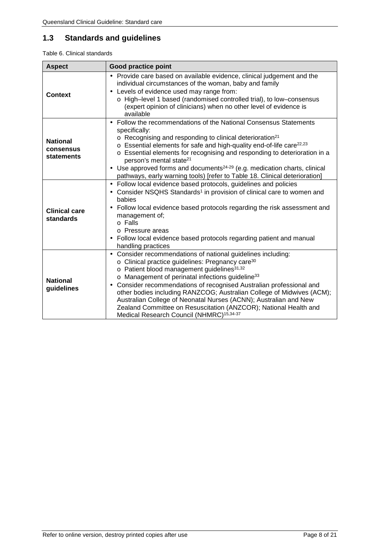# <span id="page-7-0"></span>**1.3 Standards and guidelines**

#### <span id="page-7-1"></span>Table 6. Clinical standards

| <b>Aspect</b>                              | <b>Good practice point</b>                                                                                                                                                                                                                                                                                                                                                                                                                                                                                                                                                                                            |
|--------------------------------------------|-----------------------------------------------------------------------------------------------------------------------------------------------------------------------------------------------------------------------------------------------------------------------------------------------------------------------------------------------------------------------------------------------------------------------------------------------------------------------------------------------------------------------------------------------------------------------------------------------------------------------|
| Context                                    | Provide care based on available evidence, clinical judgement and the<br>ä,<br>individual circumstances of the woman, baby and family<br>Levels of evidence used may range from:<br>o High-level 1 based (randomised controlled trial), to low-consensus<br>(expert opinion of clinicians) when no other level of evidence is<br>available                                                                                                                                                                                                                                                                             |
| <b>National</b><br>consensus<br>statements | Follow the recommendations of the National Consensus Statements<br>í.<br>specifically:<br>$\circ$ Recognising and responding to clinical deterioration <sup>21</sup><br>o Essential elements for safe and high-quality end-of-life care <sup>22,23</sup><br>o Essential elements for recognising and responding to deterioration in a<br>person's mental state <sup>21</sup><br>Use approved forms and documents <sup>24-29</sup> (e.g. medication charts, clinical<br>ä,<br>pathways, early warning tools) [refer to Table 18. Clinical deterioration]                                                               |
| <b>Clinical care</b><br>standards          | Follow local evidence based protocols, guidelines and policies<br>í,<br>Consider NSQHS Standards <sup>1</sup> in provision of clinical care to women and<br>babies<br>Follow local evidence based protocols regarding the risk assessment and<br>$\blacksquare$<br>management of;<br>o Falls<br>o Pressure areas<br>Follow local evidence based protocols regarding patient and manual<br>handling practices                                                                                                                                                                                                          |
| <b>National</b><br>guidelines              | Consider recommendations of national guidelines including:<br>$\blacksquare$<br>o Clinical practice guidelines: Pregnancy care <sup>30</sup><br>o Patient blood management guidelines <sup>31,32</sup><br>o Management of perinatal infections guideline <sup>33</sup><br>Consider recommendations of recognised Australian professional and<br>other bodies including RANZCOG; Australian College of Midwives (ACM);<br>Australian College of Neonatal Nurses (ACNN); Australian and New<br>Zealand Committee on Resuscitation (ANZCOR); National Health and<br>Medical Research Council (NHMRC) <sup>15,34-37</sup> |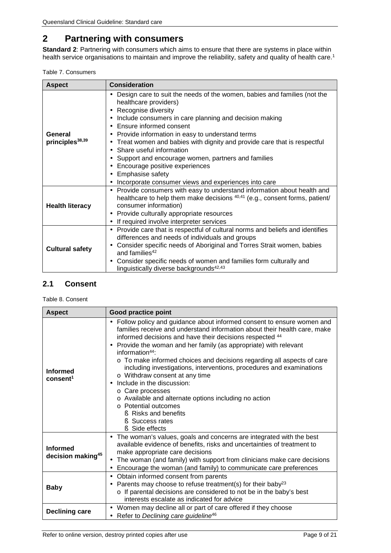# <span id="page-8-0"></span>**2 Partnering with consumers**

**Standard 2**: Partnering with consumers which aims to ensure that there are systems in place within health service organisations to maintain and improve the reliability, safety and quality of health care.1

<span id="page-8-2"></span>

|  | Table 7. Consumers |
|--|--------------------|
|--|--------------------|

| <b>Aspect</b>                          | <b>Consideration</b>                                                                                                                                                                                                                                                                                                                                                                                                                                                                                                                                                                                                                                                                     |
|----------------------------------------|------------------------------------------------------------------------------------------------------------------------------------------------------------------------------------------------------------------------------------------------------------------------------------------------------------------------------------------------------------------------------------------------------------------------------------------------------------------------------------------------------------------------------------------------------------------------------------------------------------------------------------------------------------------------------------------|
| General<br>principles <sup>38,39</sup> | Design care to suit the needs of the women, babies and families (not the<br>$\blacksquare$<br>healthcare providers)<br>Recognise diversity<br>٠<br>Include consumers in care planning and decision making<br>٠<br>Ensure informed consent<br>$\blacksquare$<br>Provide information in easy to understand terms<br>٠<br>Treat women and babies with dignity and provide care that is respectful<br>$\blacksquare$<br>Share useful information<br>$\blacksquare$<br>Support and encourage women, partners and families<br>$\blacksquare$<br>Encourage positive experiences<br>$\blacksquare$<br>Emphasise safety<br>$\blacksquare$<br>Incorporate consumer views and experiences into care |
| <b>Health literacy</b>                 | Provide consumers with easy to understand information about health and<br>×,<br>healthcare to help them make decisions <sup>40,41</sup> (e.g., consent forms, patient/<br>consumer information)<br>Provide culturally appropriate resources<br>٠<br>If required involve interpreter services<br>٠                                                                                                                                                                                                                                                                                                                                                                                        |
| <b>Cultural safety</b>                 | Provide care that is respectful of cultural norms and beliefs and identifies<br>$\blacksquare$<br>differences and needs of individuals and groups<br>Consider specific needs of Aboriginal and Torres Strait women, babies<br>٠<br>and families <sup>42</sup><br>Consider specific needs of women and families form culturally and<br>٠<br>linguistically diverse backgrounds <sup>42,43</sup>                                                                                                                                                                                                                                                                                           |

## <span id="page-8-1"></span>**2.1 Consent**

<span id="page-8-3"></span>Table 8. Consent

| <b>Aspect</b>                                    | <b>Good practice point</b>                                                                                                                                                                                                                                                                                                                                                                                                                                                                                                                                                                                                                                                                                                            |
|--------------------------------------------------|---------------------------------------------------------------------------------------------------------------------------------------------------------------------------------------------------------------------------------------------------------------------------------------------------------------------------------------------------------------------------------------------------------------------------------------------------------------------------------------------------------------------------------------------------------------------------------------------------------------------------------------------------------------------------------------------------------------------------------------|
| <b>Informed</b><br>consent <sup>1</sup>          | Follow policy and guidance about informed consent to ensure women and<br>$\blacksquare$<br>families receive and understand information about their health care, make<br>informed decisions and have their decisions respected 44<br>Provide the woman and her family (as appropriate) with relevant<br>$\blacksquare$<br>information $44$ :<br>o To make informed choices and decisions regarding all aspects of care<br>including investigations, interventions, procedures and examinations<br>o Withdraw consent at any time<br>Include in the discussion:<br>ä,<br>○ Care processes<br>o Available and alternate options including no action<br>$\circ$ Potential outcomes<br>Risks and benefits<br>Success rates<br>Side effects |
| <b>Informed</b><br>decision making <sup>45</sup> | The woman's values, goals and concerns are integrated with the best<br>$\blacksquare$<br>available evidence of benefits, risks and uncertainties of treatment to<br>make appropriate care decisions<br>The woman (and family) with support from clinicians make care decisions<br>٠<br>Encourage the woman (and family) to communicate care preferences<br>٠                                                                                                                                                                                                                                                                                                                                                                          |
| <b>Baby</b>                                      | Obtain informed consent from parents<br>٠<br>Parents may choose to refuse treatment(s) for their baby <sup>23</sup><br>٠<br>o If parental decisions are considered to not be in the baby's best<br>interests escalate as indicated for advice                                                                                                                                                                                                                                                                                                                                                                                                                                                                                         |
| <b>Declining care</b>                            | Women may decline all or part of care offered if they choose<br>Refer to Declining care guideline <sup>46</sup>                                                                                                                                                                                                                                                                                                                                                                                                                                                                                                                                                                                                                       |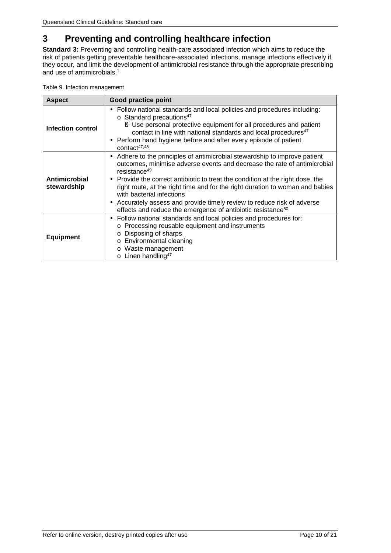# <span id="page-9-0"></span>**3 Preventing and controlling healthcare infection**

**Standard 3:** Preventing and controlling health-care associated infection which aims to reduce the risk of patients getting preventable healthcare-associated infections, manage infections effectively if they occur, and limit the development of antimicrobial resistance through the appropriate prescribing and use of antimicrobials.1

| <b>Aspect</b>                | <b>Good practice point</b>                                                                                                                                                                                                                                                                                                                                                                                                                                                                                                                                                          |
|------------------------------|-------------------------------------------------------------------------------------------------------------------------------------------------------------------------------------------------------------------------------------------------------------------------------------------------------------------------------------------------------------------------------------------------------------------------------------------------------------------------------------------------------------------------------------------------------------------------------------|
| <b>Infection control</b>     | Follow national standards and local policies and procedures including:<br>$\circ$ Standard precautions <sup>47</sup><br>S Use personal protective equipment for all procedures and patient<br>contact in line with national standards and local procedures <sup>47</sup><br>Perform hand hygiene before and after every episode of patient<br>$\blacksquare$<br>contact <sup>47,48</sup>                                                                                                                                                                                            |
| Antimicrobial<br>stewardship | Adhere to the principles of antimicrobial stewardship to improve patient<br>$\blacksquare$<br>outcomes, minimise adverse events and decrease the rate of antimicrobial<br>resistance <sup>49</sup><br>Provide the correct antibiotic to treat the condition at the right dose, the<br>$\bullet$<br>right route, at the right time and for the right duration to woman and babies<br>with bacterial infections<br>Accurately assess and provide timely review to reduce risk of adverse<br>$\blacksquare$<br>effects and reduce the emergence of antibiotic resistance <sup>50</sup> |
| <b>Equipment</b>             | Follow national standards and local policies and procedures for:<br>$\blacksquare$<br>o Processing reusable equipment and instruments<br>o Disposing of sharps<br>o Environmental cleaning<br>o Waste management<br>$\circ$ Linen handling <sup>47</sup>                                                                                                                                                                                                                                                                                                                            |

<span id="page-9-1"></span>

|  |  | Table 9. Infection management |
|--|--|-------------------------------|
|--|--|-------------------------------|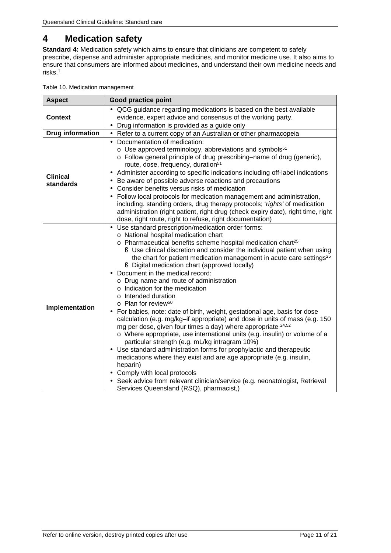# <span id="page-10-0"></span>**4 Medication safety**

**Standard 4:** Medication safety which aims to ensure that clinicians are competent to safely prescribe, dispense and administer appropriate medicines, and monitor medicine use. It also aims to ensure that consumers are informed about medicines, and understand their own medicine needs and risks.1

<span id="page-10-1"></span>

|  |  | Table 10. Medication management |
|--|--|---------------------------------|
|--|--|---------------------------------|

| <b>Aspect</b>                | Good practice point                                                                                                                                                                                                                                                                                                                                                                                                                                                                                                                                                                                                                                                                                                                                                                                                                                                                                                                                                                                                                                                                                                                                                                                                                                                                                                         |
|------------------------------|-----------------------------------------------------------------------------------------------------------------------------------------------------------------------------------------------------------------------------------------------------------------------------------------------------------------------------------------------------------------------------------------------------------------------------------------------------------------------------------------------------------------------------------------------------------------------------------------------------------------------------------------------------------------------------------------------------------------------------------------------------------------------------------------------------------------------------------------------------------------------------------------------------------------------------------------------------------------------------------------------------------------------------------------------------------------------------------------------------------------------------------------------------------------------------------------------------------------------------------------------------------------------------------------------------------------------------|
| <b>Context</b>               | QCG guidance regarding medications is based on the best available<br>evidence, expert advice and consensus of the working party.<br>Drug information is provided as a guide only                                                                                                                                                                                                                                                                                                                                                                                                                                                                                                                                                                                                                                                                                                                                                                                                                                                                                                                                                                                                                                                                                                                                            |
| <b>Drug information</b>      | Refer to a current copy of an Australian or other pharmacopeia                                                                                                                                                                                                                                                                                                                                                                                                                                                                                                                                                                                                                                                                                                                                                                                                                                                                                                                                                                                                                                                                                                                                                                                                                                                              |
| <b>Clinical</b><br>standards | Documentation of medication:<br>$\circ$ Use approved terminology, abbreviations and symbols <sup>51</sup><br>o Follow general principle of drug prescribing–name of drug (generic),<br>route, dose, frequency, duration <sup>51</sup><br>Administer according to specific indications including off-label indications<br>$\blacksquare$<br>Be aware of possible adverse reactions and precautions<br>$\blacksquare$<br>Consider benefits versus risks of medication<br>$\blacksquare$<br>Follow local protocols for medication management and administration,<br>$\blacksquare$<br>including. standing orders, drug therapy protocols; 'rights' of medication<br>administration (right patient, right drug (check expiry date), right time, right<br>dose, right route, right to refuse, right documentation)                                                                                                                                                                                                                                                                                                                                                                                                                                                                                                               |
| Implementation               | Use standard prescription/medication order forms:<br>$\blacksquare$<br>o National hospital medication chart<br>o Pharmaceutical benefits scheme hospital medication chart <sup>25</sup><br>S Use clinical discretion and consider the individual patient when using<br>the chart for patient medication management in acute care settings <sup>25</sup><br><b>§</b> Digital medication chart (approved locally)<br>Document in the medical record:<br>o Drug name and route of administration<br>o Indication for the medication<br>o Intended duration<br>$\circ$ Plan for review <sup>50</sup><br>For babies, note: date of birth, weight, gestational age, basis for dose<br>$\blacksquare$<br>calculation (e.g. mg/kg-if appropriate) and dose in units of mass (e.g. 150<br>mg per dose, given four times a day) where appropriate <sup>24,52</sup><br>o Where appropriate, use international units (e.g. insulin) or volume of a<br>particular strength (e.g. mL/kg intragram 10%)<br>Use standard administration forms for prophylactic and therapeutic<br>$\blacksquare$<br>medications where they exist and are age appropriate (e.g. insulin,<br>heparin)<br>Comply with local protocols<br>Seek advice from relevant clinician/service (e.g. neonatologist, Retrieval<br>Services Queensland (RSQ), pharmacist,) |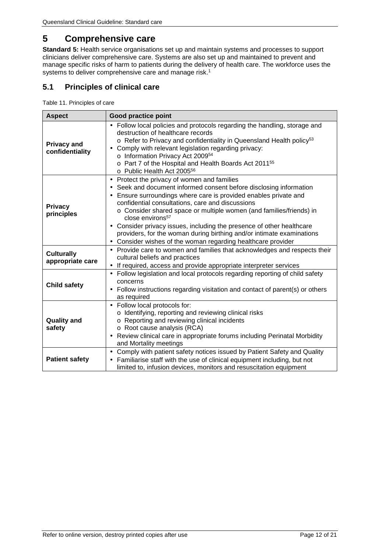# <span id="page-11-0"></span>**5 Comprehensive care**

**Standard 5:** Health service organisations set up and maintain systems and processes to support clinicians deliver comprehensive care. Systems are also set up and maintained to prevent and manage specific risks of harm to patients during the delivery of health care. The workforce uses the systems to deliver comprehensive care and manage risk.<sup>1</sup>

### <span id="page-11-1"></span>**5.1 Principles of clinical care**

<span id="page-11-2"></span>Table 11. Principles of care

| <b>Aspect</b>                         | <b>Good practice point</b>                                                                                                                                                                                                                                                                                                                                                                                                                                                                                                                                                                                       |
|---------------------------------------|------------------------------------------------------------------------------------------------------------------------------------------------------------------------------------------------------------------------------------------------------------------------------------------------------------------------------------------------------------------------------------------------------------------------------------------------------------------------------------------------------------------------------------------------------------------------------------------------------------------|
| <b>Privacy and</b><br>confidentiality | Follow local policies and protocols regarding the handling, storage and<br>destruction of healthcare records<br>o Refer to Privacy and confidentiality in Queensland Health policy <sup>53</sup><br>Comply with relevant legislation regarding privacy:<br>o Information Privacy Act 200954<br>o Part 7 of the Hospital and Health Boards Act 2011 <sup>55</sup><br>o Public Health Act 2005 <sup>56</sup>                                                                                                                                                                                                       |
| <b>Privacy</b><br>principles          | Protect the privacy of women and families<br>٠<br>Seek and document informed consent before disclosing information<br>$\bullet$<br>Ensure surroundings where care is provided enables private and<br>$\blacksquare$<br>confidential consultations, care and discussions<br>o Consider shared space or multiple women (and families/friends) in<br>$close$ environs <sup>57</sup><br>Consider privacy issues, including the presence of other healthcare<br>providers, for the woman during birthing and/or intimate examinations<br>Consider wishes of the woman regarding healthcare provider<br>$\blacksquare$ |
| <b>Culturally</b><br>appropriate care | Provide care to women and families that acknowledges and respects their<br>cultural beliefs and practices<br>If required, access and provide appropriate interpreter services                                                                                                                                                                                                                                                                                                                                                                                                                                    |
| <b>Child safety</b>                   | Follow legislation and local protocols regarding reporting of child safety<br>$\blacksquare$<br>concerns<br>Follow instructions regarding visitation and contact of parent(s) or others<br>as required                                                                                                                                                                                                                                                                                                                                                                                                           |
| <b>Quality and</b><br>safety          | Follow local protocols for:<br>$\blacksquare$<br>o Identifying, reporting and reviewing clinical risks<br>o Reporting and reviewing clinical incidents<br>o Root cause analysis (RCA)<br>Review clinical care in appropriate forums including Perinatal Morbidity<br>$\blacksquare$<br>and Mortality meetings                                                                                                                                                                                                                                                                                                    |
| <b>Patient safety</b>                 | Comply with patient safety notices issued by Patient Safety and Quality<br>Familiarise staff with the use of clinical equipment including, but not<br>٠<br>limited to, infusion devices, monitors and resuscitation equipment                                                                                                                                                                                                                                                                                                                                                                                    |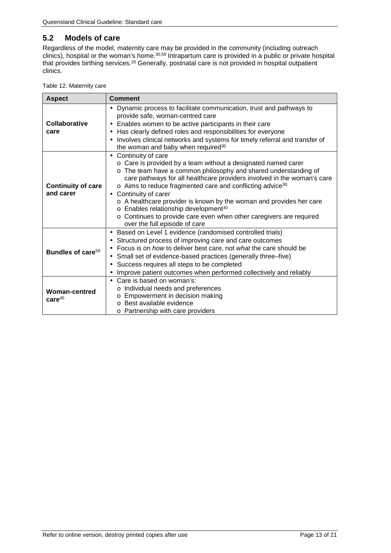### <span id="page-12-0"></span>**5.2 Models of care**

Regardless of the model, maternity care may be provided in the community (including outreach clinics), hospital or the woman's home.30,58 Intrapartum care is provided in a public or private hospital that provides birthing services.<sup>20</sup> Generally, postnatal care is not provided in hospital outpatient clinics.

<span id="page-12-1"></span>

| <b>Aspect</b>                          | <b>Comment</b>                                                                                                                                                                                                                                                                                                                                                                                                                                                                                                                                                                  |
|----------------------------------------|---------------------------------------------------------------------------------------------------------------------------------------------------------------------------------------------------------------------------------------------------------------------------------------------------------------------------------------------------------------------------------------------------------------------------------------------------------------------------------------------------------------------------------------------------------------------------------|
| Collaborative<br>care                  | Dynamic process to facilitate communication, trust and pathways to<br>provide safe, woman-centred care<br>Enables women to be active participants in their care<br>Has clearly defined roles and responsibilities for everyone<br>٠<br>Involves clinical networks and systems for timely referral and transfer of<br>٠<br>the woman and baby when required <sup>30</sup>                                                                                                                                                                                                        |
| <b>Continuity of care</b><br>and carer | Continuity of care<br>ä,<br>o Care is provided by a team without a designated named carer<br>o The team have a common philosophy and shared understanding of<br>care pathways for all healthcare providers involved in the woman's care<br>o Aims to reduce fragmented care and conflicting advice <sup>30</sup><br>Continuity of carer<br>٠<br>o A healthcare provider is known by the woman and provides her care<br>o Enables relationship development <sup>30</sup><br>o Continues to provide care even when other caregivers are required<br>over the full episode of care |
| Bundles of care <sup>59</sup>          | Based on Level 1 evidence (randomised controlled trials)<br>٠<br>Structured process of improving care and care outcomes<br>$\blacksquare$<br>Focus is on how to deliver best care, not what the care should be<br>٠<br>Small set of evidence-based practices (generally three–five)<br>٠<br>Success requires all steps to be completed<br>$\blacksquare$<br>Improve patient outcomes when performed collectively and reliably<br>٠                                                                                                                                              |
| Woman-centred<br>$care^{45}$           | Care is based on woman's:<br>o Individual needs and preferences<br>Empowerment in decision making<br>Best available evidence<br>$\Omega$<br>o Partnership with care providers                                                                                                                                                                                                                                                                                                                                                                                                   |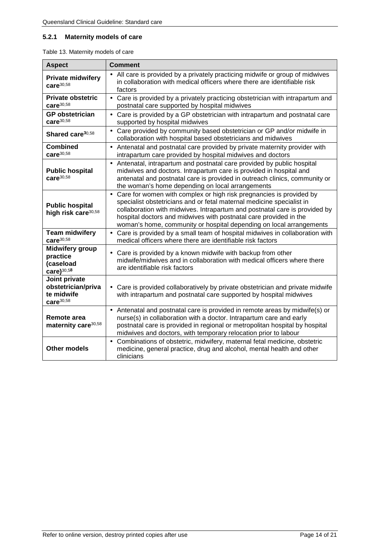### <span id="page-13-0"></span>**5.2.1 Maternity models of care**

<span id="page-13-1"></span>

| <b>Aspect</b>                                                              | Comment                                                                                                                                                                                                                                                                                                                                                                                  |
|----------------------------------------------------------------------------|------------------------------------------------------------------------------------------------------------------------------------------------------------------------------------------------------------------------------------------------------------------------------------------------------------------------------------------------------------------------------------------|
| <b>Private midwifery</b><br>care $30,58$                                   | All care is provided by a privately practicing midwife or group of midwives<br>in collaboration with medical officers where there are identifiable risk<br>factors                                                                                                                                                                                                                       |
| <b>Private obstetric</b><br>care $^{30,58}$                                | Care is provided by a privately practicing obstetrician with intrapartum and<br>$\blacksquare$<br>postnatal care supported by hospital midwives                                                                                                                                                                                                                                          |
| <b>GP</b> obstetrician<br>care $30,58$                                     | Care is provided by a GP obstetrician with intrapartum and postnatal care<br>ä,<br>supported by hospital midwives                                                                                                                                                                                                                                                                        |
| Shared care <sup>30,58</sup>                                               | Care provided by community based obstetrician or GP and/or midwife in<br>ä,<br>collaboration with hospital based obstetricians and midwives                                                                                                                                                                                                                                              |
| <b>Combined</b><br>care $30,58$                                            | Antenatal and postnatal care provided by private maternity provider with<br>l,<br>intrapartum care provided by hospital midwives and doctors                                                                                                                                                                                                                                             |
| <b>Public hospital</b><br>care $^{30,58}$                                  | Antenatal, intrapartum and postnatal care provided by public hospital<br>ä,<br>midwives and doctors. Intrapartum care is provided in hospital and<br>antenatal and postnatal care is provided in outreach clinics, community or<br>the woman's home depending on local arrangements                                                                                                      |
| <b>Public hospital</b><br>high risk care <sup>30,58</sup>                  | Care for women with complex or high risk pregnancies is provided by<br>$\blacksquare$<br>specialist obstetricians and or fetal maternal medicine specialist in<br>collaboration with midwives. Intrapartum and postnatal care is provided by<br>hospital doctors and midwives with postnatal care provided in the<br>woman's home, community or hospital depending on local arrangements |
| <b>Team midwifery</b><br>care <sup>30,58</sup>                             | Care is provided by a small team of hospital midwives in collaboration with<br>medical officers where there are identifiable risk factors                                                                                                                                                                                                                                                |
| Midwifery group<br>practice<br>(caseload<br>care) $30,58$                  | Care is provided by a known midwife with backup from other<br>midwife/midwives and in collaboration with medical officers where there<br>are identifiable risk factors                                                                                                                                                                                                                   |
| Joint private<br>obstetrician/priva<br>te midwife<br>care <sup>30,58</sup> | Care is provided collaboratively by private obstetrician and private midwife<br>with intrapartum and postnatal care supported by hospital midwives                                                                                                                                                                                                                                       |
| Remote area<br>maternity care <sup>30,58</sup>                             | Antenatal and postnatal care is provided in remote areas by midwife(s) or<br>nurse(s) in collaboration with a doctor. Intrapartum care and early<br>postnatal care is provided in regional or metropolitan hospital by hospital<br>midwives and doctors, with temporary relocation prior to labour                                                                                       |
| <b>Other models</b>                                                        | Combinations of obstetric, midwifery, maternal fetal medicine, obstetric<br>medicine, general practice, drug and alcohol, mental health and other<br>clinicians                                                                                                                                                                                                                          |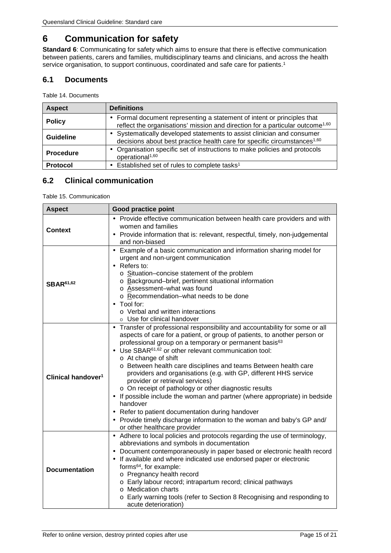# <span id="page-14-0"></span>**6 Communication for safety**

**Standard 6:** Communicating for safety which aims to ensure that there is effective communication between patients, carers and families, multidisciplinary teams and clinicians, and across the health service organisation, to support continuous, coordinated and safe care for patients.<sup>1</sup>

### <span id="page-14-1"></span>**6.1 Documents**

<span id="page-14-3"></span>Table 14. Documents

| <b>Aspect</b>    | <b>Definitions</b>                                                                                                                                                      |
|------------------|-------------------------------------------------------------------------------------------------------------------------------------------------------------------------|
| <b>Policy</b>    | Formal document representing a statement of intent or principles that<br>٠<br>reflect the organisations' mission and direction for a particular outcome <sup>1,60</sup> |
| <b>Guideline</b> | Systematically developed statements to assist clinician and consumer<br>decisions about best practice health care for specific circumstances <sup>1,60</sup>            |
| <b>Procedure</b> | Organisation specific set of instructions to make policies and protocols<br>operational <sup>1,60</sup>                                                                 |
| <b>Protocol</b>  | Established set of rules to complete tasks <sup>1</sup>                                                                                                                 |

## <span id="page-14-2"></span>**6.2 Clinical communication**

<span id="page-14-4"></span>Table 15. Communication

| <b>Aspect</b>                  | <b>Good practice point</b>                                                                                                                                                                                                                                                                                                                                                                                                                                                                                                                                                                                                                                                                                                                                                                                        |  |  |
|--------------------------------|-------------------------------------------------------------------------------------------------------------------------------------------------------------------------------------------------------------------------------------------------------------------------------------------------------------------------------------------------------------------------------------------------------------------------------------------------------------------------------------------------------------------------------------------------------------------------------------------------------------------------------------------------------------------------------------------------------------------------------------------------------------------------------------------------------------------|--|--|
| <b>Context</b>                 | Provide effective communication between health care providers and with<br>women and families<br>Provide information that is: relevant, respectful, timely, non-judgemental<br>and non-biased                                                                                                                                                                                                                                                                                                                                                                                                                                                                                                                                                                                                                      |  |  |
| <b>SBAR61,62</b>               | Example of a basic communication and information sharing model for<br>$\mathcal{L}_{\mathcal{A}}$<br>urgent and non-urgent communication<br>· Refers to:<br>o Situation-concise statement of the problem<br>o Background-brief, pertinent situational information<br>o Assessment-what was found<br>o Recommendation-what needs to be done<br>· Tool for:<br>o Verbal and written interactions<br>○ Use for clinical handover                                                                                                                                                                                                                                                                                                                                                                                     |  |  |
| Clinical handover <sup>1</sup> | Transfer of professional responsibility and accountability for some or all<br>aspects of care for a patient, or group of patients, to another person or<br>professional group on a temporary or permanent basis <sup>63</sup><br>· Use SBAR <sup>61,62</sup> or other relevant communication tool:<br>o At change of shift<br>o Between health care disciplines and teams Between health care<br>providers and organisations (e.g. with GP, different HHS service<br>provider or retrieval services)<br>o On receipt of pathology or other diagnostic results<br>If possible include the woman and partner (where appropriate) in bedside<br>handover<br>Refer to patient documentation during handover<br>. Provide timely discharge information to the woman and baby's GP and/<br>or other healthcare provider |  |  |
| <b>Documentation</b>           | Adhere to local policies and protocols regarding the use of terminology,<br>abbreviations and symbols in documentation<br>Document contemporaneously in paper based or electronic health record<br>If available and where indicated use endorsed paper or electronic<br>forms <sup>64</sup> , for example:<br>o Pregnancy health record<br>o Early labour record; intrapartum record; clinical pathways<br>o Medication charts<br>o Early warning tools (refer to Section 8 Recognising and responding to<br>acute deterioration)                                                                                                                                                                                                                                                                                 |  |  |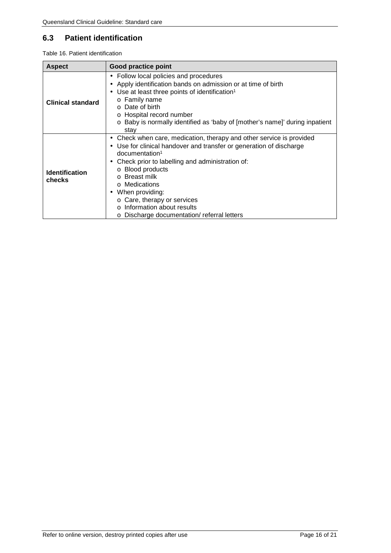## <span id="page-15-0"></span>**6.3 Patient identification**

<span id="page-15-1"></span>

| Table 16. Patient identification |  |
|----------------------------------|--|
|----------------------------------|--|

| <b>Aspect</b>                   | <b>Good practice point</b>                                                                                                                                                                                                                                                                                                                                                                                                         |  |  |
|---------------------------------|------------------------------------------------------------------------------------------------------------------------------------------------------------------------------------------------------------------------------------------------------------------------------------------------------------------------------------------------------------------------------------------------------------------------------------|--|--|
| <b>Clinical standard</b>        | Follow local policies and procedures<br>٠<br>Apply identification bands on admission or at time of birth<br>٠<br>Use at least three points of identification <sup>1</sup><br>٠<br>o Family name<br>Date of birth<br>$\Omega$<br>o Hospital record number<br>Baby is normally identified as 'baby of [mother's name]' during inpatient<br>$\circ$<br>stay                                                                           |  |  |
| <b>Identification</b><br>checks | Check when care, medication, therapy and other service is provided<br>٠<br>Use for clinical handover and transfer or generation of discharge<br>٠<br>$d$ ocumentation <sup>1</sup><br>Check prior to labelling and administration of:<br>٠<br>o Blood products<br>o Breast milk<br>o Medications<br>When providing:<br>٠<br>o Care, therapy or services<br>Information about results<br>o Discharge documentation/referral letters |  |  |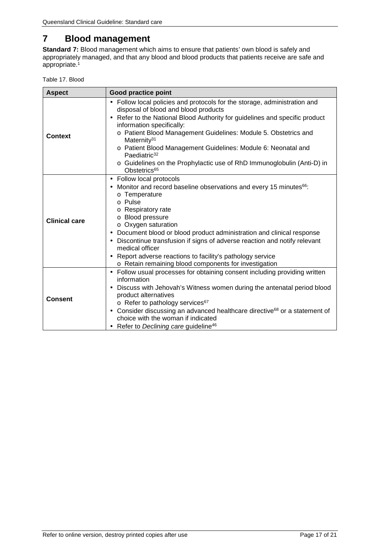# <span id="page-16-0"></span>**7 Blood management**

**Standard 7:** Blood management which aims to ensure that patients' own blood is safely and appropriately managed, and that any blood and blood products that patients receive are safe and appropriate.1

<span id="page-16-1"></span>Table 17. Blood

| <b>Aspect</b>        | Good practice point                                                                                                                                                                                                                                                                                                                                                                                                                                                                                                              |
|----------------------|----------------------------------------------------------------------------------------------------------------------------------------------------------------------------------------------------------------------------------------------------------------------------------------------------------------------------------------------------------------------------------------------------------------------------------------------------------------------------------------------------------------------------------|
| <b>Context</b>       | Follow local policies and protocols for the storage, administration and<br>×,<br>disposal of blood and blood products<br>Refer to the National Blood Authority for guidelines and specific product<br>information specifically:<br>o Patient Blood Management Guidelines: Module 5. Obstetrics and<br>Maternity <sup>31</sup><br>o Patient Blood Management Guidelines: Module 6: Neonatal and<br>Paediatric <sup>32</sup><br>o Guidelines on the Prophylactic use of RhD Immunoglobulin (Anti-D) in<br>Obstetrics <sup>65</sup> |
| <b>Clinical care</b> | Follow local protocols<br>٠<br>Monitor and record baseline observations and every 15 minutes <sup>66</sup> :<br>o Temperature<br>o Pulse<br>o Respiratory rate<br>o Blood pressure<br>$\circ$ Oxygen saturation<br>Document blood or blood product administration and clinical response<br>٠<br>Discontinue transfusion if signs of adverse reaction and notify relevant<br>medical officer<br>Report adverse reactions to facility's pathology service<br>٠<br>o Retain remaining blood components for investigation            |
| <b>Consent</b>       | Follow usual processes for obtaining consent including providing written<br>×,<br>information<br>Discuss with Jehovah's Witness women during the antenatal period blood<br>٠<br>product alternatives<br>$\circ$ Refer to pathology services <sup>67</sup><br>Consider discussing an advanced healthcare directive <sup>68</sup> or a statement of<br>٠<br>choice with the woman if indicated<br>Refer to Declining care guideline <sup>46</sup>                                                                                  |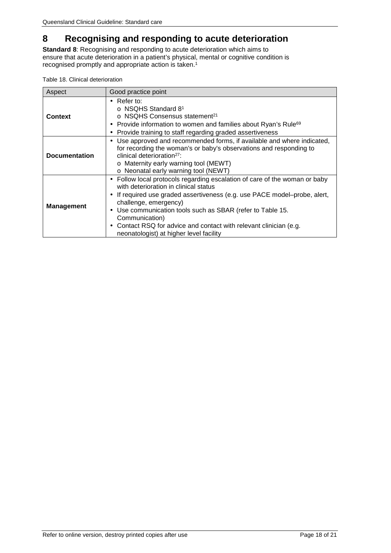# <span id="page-17-0"></span>**8 Recognising and responding to acute deterioration**

**Standard 8**: Recognising and responding to acute deterioration which aims to ensure that acute deterioration in a patient's physical, mental or cognitive condition is recognised promptly and appropriate action is taken.1

<span id="page-17-1"></span>

|  |  |  | Table 18. Clinical deterioration |
|--|--|--|----------------------------------|
|--|--|--|----------------------------------|

| Aspect               | Good practice point                                                                                                                                                                                                                                                                                                                                                                                                                                 |
|----------------------|-----------------------------------------------------------------------------------------------------------------------------------------------------------------------------------------------------------------------------------------------------------------------------------------------------------------------------------------------------------------------------------------------------------------------------------------------------|
| <b>Context</b>       | Refer to:<br>$\blacksquare$<br>$\circ$ NSQHS Standard 8 <sup>1</sup><br>$\circ$ NSQHS Consensus statement <sup>21</sup><br>Provide information to women and families about Ryan's Rule <sup>69</sup><br>$\blacksquare$<br>Provide training to staff regarding graded assertiveness<br>$\blacksquare$                                                                                                                                                |
| <b>Documentation</b> | Use approved and recommended forms, if available and where indicated,<br>for recording the woman's or baby's observations and responding to<br>clinical deterioration <sup>27</sup> :<br>o Maternity early warning tool (MEWT)<br>o Neonatal early warning tool (NEWT)                                                                                                                                                                              |
| <b>Management</b>    | Follow local protocols regarding escalation of care of the woman or baby<br>$\blacksquare$<br>with deterioration in clinical status<br>If required use graded assertiveness (e.g. use PACE model-probe, alert,<br>٠<br>challenge, emergency)<br>Use communication tools such as SBAR (refer to Table 15.<br>٠<br>Communication)<br>Contact RSQ for advice and contact with relevant clinician (e.g.<br>٠<br>neonatologist) at higher level facility |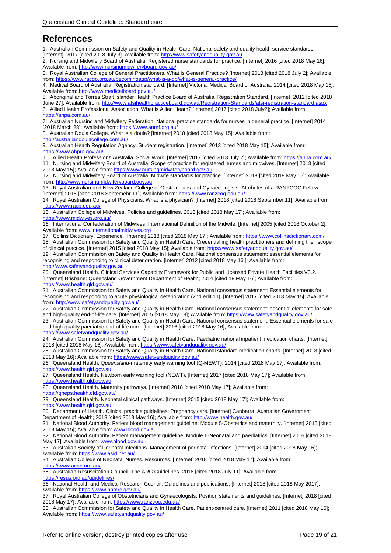# <span id="page-18-0"></span>**References**

1. Australian Commission on Safety and Quality in Health Care. National safety and quality health service standards [Internet]. 2017 [cited 2018 July 3]. Available from: http://www.safetyandquality.gov.au

2. Nursing and Midwifery Board of Australia. Registered nurse standards for practice. [Internet] 2016 [cited 2018 May 16]; Available from:<http://www.nursingmidwiferyboard.gov.au/>

3. Royal Australian College of General Practitioners. What is General Practice? [Internet] 2018 [cited 2018 July 2]; Available from[: https://www.racgp.org.au/becomingagp/what-is-a-gp/what-is-general-practice/](https://www.racgp.org.au/becomingagp/what-is-a-gp/what-is-general-practice/)

4. Medical Board of Australia. Registration standard. [Internet] Victoria: Medical Board of Australia; 2014 [cited 2018 May 15]; Available from:<http://www.medicalboard.gov.au/>

5. Aboriginal and Torres Strait Islander Health Practice Board of Australia. Registration Standard. [Internet] 2012 [cited 2018 June 27]; Available from: http://www.atsihealthpracticeboard.gov.au/Registration-Standards/atsi-registration-

6. Allied Health Professional Association. What is Allied Heath? [Internet] 2017 [cited 2018 July2]; Available from: <https://ahpa.com.au/>

7. Australian Nursing and Midwifery Federation. National practice standards for nurses in general practice. [Internet] 2014 [2018 March 28]; Available from: https://www.anmf.org.au

8. Australian Doula College. What is a doula? [Internet] 2018 [cited 2018 May 15]; Available from:

http://australiandoulacollege.com.au

9. Australian Health Regulation Agency. Student registration. [Internet] 2013 [cited 2018 May 15]; Available from: <https://www.ahpra.gov.au/>

10. Allied Health Professions Australia. Social Work. [Internet] 2017 [cited 2018 July 2]; Available from[: https://ahpa.com.au/](https://ahpa.com.au/) 11. Nursing and Midwifery Board of Australia. Scope of practice for registered nurses and midwives. [Internet] 2013 [cited 2018 May 15]; Available from: [https://www.nursingmidwiferyboard.gov.au](https://www.nursingmidwiferyboard.gov.au/)

12. Nursing and Midwifery Board of Australia. Midwife standards for practice. [Internet] 2018 [cited 2018 May 15]; Available from[: http://www.nursingmidwiferyboard.gov.au](http://www.nursingmidwiferyboard.gov.au/)

13. Royal Australian and New Zealand College of Obstetricians and Gynaecologists. Attributes of a RANZCOG Fellow. [Internet] 2016 [cited 2018 Septemebr 11]; Available from[: https://www.ranzcog.edu.au/](https://www.ranzcog.edu.au/)

14. Royal Australian College of Physicians. What is a physician? [Internet] 2018 [cited 2018 September 11]; Available from: <https://www.racp.edu.au/>

15. Australian College of Midwives. Policies and guidelines. 2018 [cited 2018 May 17]; Available from: <https://www.midwives.org.au/>

16. International Confederation of Midwives. Internatioinal Definition of the Midwife. [Internet] 2005 [cited 2018 October 2]; Available from: [www.internationalmidwives.org](http://www.internationalmidwives.org/)

17. Collins Dictionary. Experience. [Internet] 2018 [cited 2018 May 17]; Available from[: https://www.collinsdictionary.com/](https://www.collinsdictionary.com/) 18. Australian Commission for Safety and Quality in Health Care. Credentialling health practitioners and defining their scope of clinical practice. [Internet] 2015 [cited 2018 May 15]; Available from[: https://www.safetyandquality.gov.au/](https://www.safetyandquality.gov.au/)

19. Australian Commission on Safety and Quality in Health Care. National consensus statement: essential elements for recognising and responding to clinical deterioration. [Internet] 2012 [cited 2018 May 16 ]; Available from: [http://www.safetyandquality.gov.au](http://www.safetyandquality.gov.au/)

20. Queensland Health. Clinical Services Capabiity Framework for Public and Licensed Private Health Facilities V3.2. [Internet] Brisbane: Queensland Government Department of Health; 2014 [cited 18 May 16]; Available from: <https://www.health.qld.gov.au/>

21. Australian Commission for Safety and Quality in Health Care. National consensus statement: Essential elements for recognising and responding to acute physiological deterioration (2nd edition). [Internet] 2017 [cited 2018 May 15]; Available from[: http://www.safetyandquality.gov.au/](http://www.safetyandquality.gov.au/)

22. Australian Commission for Safety and Quality in Health Care. National consensus statement: essential elements for safe and high-quality end-of-life care. [Internet] 2015 [2018 May 18]; Available from[: https://www.safetyandquality.gov.au/](https://www.safetyandquality.gov.au/)

23. Australian Commission for Safety and Quality in Health Care. National consensus statement: Essential elements for safe and high-quality paediatric end-of-life care. [Internet] 2016 [cited 2018 May 16]; Available from: <https://www.safetyandquality.gov.au/>

24. Australian Commission for Safety and Quality in Health Care. Paediatric national inpatient medication charts. [Internet] 2018 [cited 2018 May 16]; Available from[: https://www.safetyandquality.gov.au/](https://www.safetyandquality.gov.au/)

25. Australian Commission for Safety and Quality in Health Care. National standard medication charts. [Internet] 2018 [cited 2018 May 16]; Available from:<https://www.safetyandquality.gov.au/>

26. Queensland Health. *Queensland-*maternity early warning tool (Q-MEWT). 2014 [cited 2018 May 17]; Available from: https://www.health.gld.gov.au

27. Queensland Health. Newborn early warning tool (NEWT). [Internet] 2017 [cited 2018 May 17]; Available from: [https://www.health.qld.gov.au](https://www.health.qld.gov.au/)

28. Queensland Health. Maternity pathways. [Internet] 2018 [cited 2018 May 17]; Available from:

<https://qheps.health.qld.gov.au/>

29. Queensland Health. Neonatal clinical pathways. [Internet] 2015 [cited 2018 May 17]; Available from: [https://www.health.qld.gov.au](https://www.health.qld.gov.au/)

30. Department of Health. Clinical practice guidelines: Pregnancy care. [Internet] Canberra: Australian Government Department of Health; 2018 [cited 2018 May 16]; Available from:<http://www.health.gov.au/>

31. National Blood Authority. Patient blood management guideline: Module 5-Obstetrics and maternity. [Internet] 2015 [cited 2018 May 15]; Available from: [www.blood.gov.au](http://www.blood.gov.au/)

32. National Blood Authority. Patient management guideline: Module 6-Neonatal and paediatrics. [Internet] 2016 [cited 2018 May 17]; Available from: [www.blood.gov.au](http://www.blood.gov.au/)

33. Australian Society of Perinatal Infections. Management of perinatal infections. [Internet] 2014 [cited 2018 May 16]; Available from:<https://www.asid.net.au/>

34. Australian College of Neonatal Nurses. Resources. [Internet] 2018 [cited 2018 May 17]; Available from:

<https://www.acnn.org.au/>

35. Australian Resuscitation Council. The ARC Guidelines. 2018 [cited 2018 July 11]; Available from:

<https://resus.org.au/guidelines/>

36. National Health and Medical Research Council. Guidelines and publications. [Internet] 2018 [cited 2018 May 2017]; Available from: https://www.nhmrc.gov.au

37. Royal Australian College of Obstetricians and Gynaecologists. Position statements and guidelines. [Internet] 2018 [cited 2018 May 17]; Available from:<https://www.ranzcog.edu.au/>

38. Australian Commission for Safety and Quality in Health Care. Patient-centred care. [Internet] 2011 [cited 2018 May 16]; Available from:<https://www.safetyandquality.gov.au/>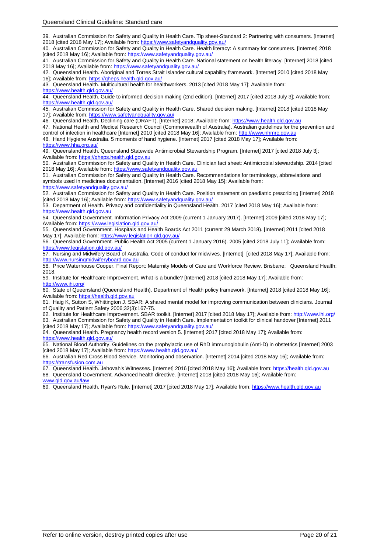39. Australian Commission for Safety and Quality in Health Care. Tip sheet-Standard 2: Partnering with consumers. [Internet] 2018 [cited 2018 May 17]; Available from[: https://www.safetyandquality.gov.au/](https://www.safetyandquality.gov.au/)

40. Australian Commission for Safety and Quality in Health Care. Health literacy: A summary for consumers. [Internet] 2018 [cited 2018 May 16]; Available from[: https://www.safetyandquality.gov.au/](https://www.safetyandquality.gov.au/)

41. Australian Commission for Safety and Quality in Health Care. National statement on health literacy. [Internet] 2018 [cited 2018 May 16]; Available from:<https://www.safetyandquality.gov.au/>

42. Queensland Health. Aboriginal and Torres Strait Islander cultural capability framework. [Internet] 2010 [cited 2018 May 16]; Available from[: https://qheps.health.qld.gov.au/](https://qheps.health.qld.gov.au/)

43. Queensland Health. Multicultural health for healthworkers. 2013 [cited 2018 May 17]; Available from:

https://www.health.gld.gov.au/

44. Queensland Health. Guide to informed decision making (2nd edition). [Internet] 2017 [cited 2018 July 3]; Available from: <https://www.health.qld.gov.au/>

45. Australian Commission for Safety and Quality in Health Care. Shared decision making. [Internet] 2018 [cited 2018 May 17]; Available from[: https://www.safetyandquality.gov.au/](https://www.safetyandquality.gov.au/)

46. Queensland Health. Declining care (DRAFT). [Internet] 2018; Available from: [https://www.health.qld.gov.au](https://www.health.qld.gov.au/)

47. National Health and Medical Research Council (Commonwealth of Australia). Australian guidelines for the prevention and control of infection in healthcare [Internet] 2010 [cited 2018 May 16]; Available from[: http://www.nhmrc.gov.au](http://www.nhmrc.gov.au/)

48. Hand Hygiene Australia. 5 moments of hand hygiene. [Internet] 2017 [cited 2018 May 17]; Available from: <https://www.hha.org.au/>

49. Queensland Health. Queensland Statewide Antimicrobial Stewardship Program. [Internet] 2017 [cited 2018 July 3]; Available from: [https://qheps.health.qld.gov.au](https://qheps.health.qld.gov.au/)

50. Australian Commission for Safety and Quality in Health Care. Clinician fact sheet: Antimicrobial stewardship. 2014 [cited 2018 May 16]; Available from: https://www.safetyandquality.gov.a

51. Australian Commission for Safety and Quality in Health Care. Recommendations for terminology, abbreviations and symbols used in medicines documentation. [Internet] 2016 [cited 2018 May 15]; Available from:

<https://www.safetyandquality.gov.au/> 52. Australian Commission for Safety and Quality in Health Care. Position statement on paediatric prescribing [Internet] 2018 [cited 2018 May 16]; Available from[: https://www.safetyandquality.gov.au/](https://www.safetyandquality.gov.au/)

53. Department of Health. Privacy and confidentiality in Queensland Health. 2017 [cited 2018 May 16]; Available from: [https://www.health.qld.gov.au](https://www.health.qld.gov.au/)

54. Queensland Government. Information Privacy Act 2009 (current 1 January 2017). [Internet] 2009 [cited 2018 May 17]; Available from:<https://www.legislation.qld.gov.au/>

55. Queensland Government. Hospitals and Health Boards Act 2011 (current 29 March 2018). [Internet] 2011 [cited 2018 May 171; Available from: https://www.legislation.gld.gov

56. Queensland Government. Public Health Act 2005 (current 1 January 2016). 2005 [cited 2018 July 11]; Available from: <https://www.legislation.qld.gov.au/>

57. Nursing and Midwifery Board of Australia. Code of conduct for midwives. [Internet] [cited 2018 May 17]; Available from: [http://www.nursingmidwiferyboard.gov.au](http://www.nursingmidwiferyboard.gov.au/)

58. Price Waterhouse Cooper. Final Report: Maternity Models of Care and Workforce Review. Brisbane: Queensland Health; 2018.

59. Institute for Healthcare Improvement. What is a bundle? [Internet] 2018 [cited 2018 May 17]; Available from: <http://www.ihi.org/>

60. State of Queensland (Queensland Health). Department of Health policy framework. [Internet] 2018 [cited 2018 May 16]; Available from: [https://health.qld.gov.au](https://health.qld.gov.au/)

61. Haig K, Sutton S, Whittington J. SBAR: A shared mental model for improving communication between clinicians. Journal of Quality and Patient Safety 2006;32(3):167-75.

62. Institute for Healthcare Improvement. SBAR toolkit. [Internet] 2017 [cited 2018 May 17]; Available from:<http://www.ihi.org/> 63. Australian Commission for Safety and Quality in Health Care. Implementation toolkit for clinical handover [Internet] 2011 [cited 2018 May 17]; Available from[: https://www.safetyandquality.gov.au/](https://www.safetyandquality.gov.au/)

64. Queensland Health. Pregnancy health record version 5. [Internet] 2017 [cited 2018 May 17]; Available from: https://www.health.gld.gov.au

65. National Blood Authority. Guidelines on the prophylactic use of RhD immunoglobulin (Anti-D) in obstetrics [Internet] 2003 [cited 2018 May 17]; Available from: https://www.health.gld.gov.au/

66. Australian Red Cross Blood Service. Monitoring and observation. [Internet] 2014 [cited 2018 May 16]; Available from: [https://transfusion.com.au](https://transfusion.com.au/)

67. Queensland Health. Jehovah's Witnesses. [Internet] 2016 [cited 2018 May 16]; Available from: [https://health.qld.gov.au](https://health.qld.gov.au/)

68. Queensland Government. Advanced health directive. [Internet] 2018 [cited 2018 May 16]; Available from: [www.qld.gov.au/law](http://www.qld.gov.au/law)

69. Queensland Health. Ryan's Rule. [Internet] 2017 [cited 2018 May 17]; Available from: [https://www.health.qld.gov.au](https://www.health.qld.gov.au/)